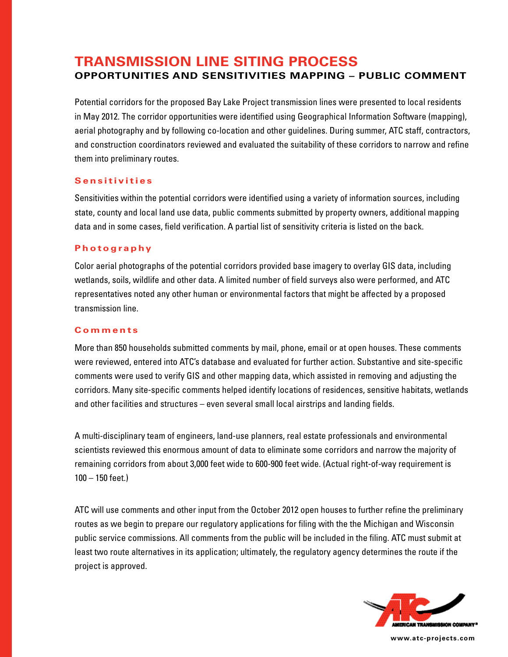# **TRANSMISSION LINE SITING PROCESS OPPORTUNITIES AND SENSITIVITIES MAPPING – PUBLIC COMMENT**

Potential corridors for the proposed Bay Lake Project transmission lines were presented to local residents in May 2012. The corridor opportunities were identified using Geographical Information Software (mapping), aerial photography and by following co-location and other guidelines. During summer, ATC staff, contractors, and construction coordinators reviewed and evaluated the suitability of these corridors to narrow and refine them into preliminary routes.

### **Sensitivities**

Sensitivities within the potential corridors were identified using a variety of information sources, including state, county and local land use data, public comments submitted by property owners, additional mapping data and in some cases, field verification. A partial list of sensitivity criteria is listed on the back.

#### **Photography**

Color aerial photographs of the potential corridors provided base imagery to overlay GIS data, including wetlands, soils, wildlife and other data. A limited number of field surveys also were performed, and ATC representatives noted any other human or environmental factors that might be affected by a proposed transmission line.

## **Comments**

More than 850 households submitted comments by mail, phone, email or at open houses. These comments were reviewed, entered into ATC's database and evaluated for further action. Substantive and site-specific comments were used to verify GIS and other mapping data, which assisted in removing and adjusting the corridors. Many site-specific comments helped identify locations of residences, sensitive habitats, wetlands and other facilities and structures – even several small local airstrips and landing fields.

A multi-disciplinary team of engineers, land-use planners, real estate professionals and environmental scientists reviewed this enormous amount of data to eliminate some corridors and narrow the majority of remaining corridors from about 3,000 feet wide to 600-900 feet wide. (Actual right-of-way requirement is 100 – 150 feet.)

ATC will use comments and other input from the October 2012 open houses to further refine the preliminary routes as we begin to prepare our regulatory applications for filing with the the Michigan and Wisconsin public service commissions. All comments from the public will be included in the filing. ATC must submit at least two route alternatives in its application; ultimately, the regulatory agency determines the route if the project is approved.



**www.atc-projects.com**